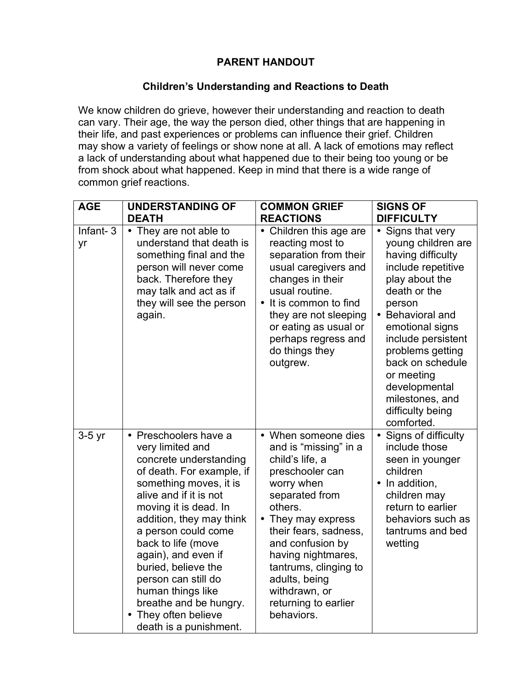## **PARENT HANDOUT**

## **Children's Understanding and Reactions to Death**

We know children do grieve, however their understanding and reaction to death can vary. Their age, the way the person died, other things that are happening in their life, and past experiences or problems can influence their grief. Children may show a variety of feelings or show none at all. A lack of emotions may reflect a lack of understanding about what happened due to their being too young or be from shock about what happened. Keep in mind that there is a wide range of common grief reactions.

| <b>AGE</b>     | <b>UNDERSTANDING OF</b>                                                                                                                                                                                                                                                                                                                                                                                                                 | <b>COMMON GRIEF</b>                                                                                                                                                                                                                                                                                                     | <b>SIGNS OF</b>                                                                                                                                                                                                                                                                                                         |
|----------------|-----------------------------------------------------------------------------------------------------------------------------------------------------------------------------------------------------------------------------------------------------------------------------------------------------------------------------------------------------------------------------------------------------------------------------------------|-------------------------------------------------------------------------------------------------------------------------------------------------------------------------------------------------------------------------------------------------------------------------------------------------------------------------|-------------------------------------------------------------------------------------------------------------------------------------------------------------------------------------------------------------------------------------------------------------------------------------------------------------------------|
|                | <b>DEATH</b>                                                                                                                                                                                                                                                                                                                                                                                                                            | <b>REACTIONS</b>                                                                                                                                                                                                                                                                                                        | <b>DIFFICULTY</b>                                                                                                                                                                                                                                                                                                       |
| Infant-3<br>yr | • They are not able to<br>understand that death is<br>something final and the<br>person will never come<br>back. Therefore they<br>may talk and act as if<br>they will see the person<br>again.                                                                                                                                                                                                                                         | • Children this age are<br>reacting most to<br>separation from their<br>usual caregivers and<br>changes in their<br>usual routine.<br>• It is common to find<br>they are not sleeping<br>or eating as usual or<br>perhaps regress and<br>do things they<br>outgrew.                                                     | • Signs that very<br>young children are<br>having difficulty<br>include repetitive<br>play about the<br>death or the<br>person<br>• Behavioral and<br>emotional signs<br>include persistent<br>problems getting<br>back on schedule<br>or meeting<br>developmental<br>milestones, and<br>difficulty being<br>comforted. |
| $3-5$ yr       | • Preschoolers have a<br>very limited and<br>concrete understanding<br>of death. For example, if<br>something moves, it is<br>alive and if it is not<br>moving it is dead. In<br>addition, they may think<br>a person could come<br>back to life (move<br>again), and even if<br>buried, believe the<br>person can still do<br>human things like<br>breathe and be hungry.<br>They often believe<br>$\bullet$<br>death is a punishment. | • When someone dies<br>and is "missing" in a<br>child's life, a<br>preschooler can<br>worry when<br>separated from<br>others.<br>• They may express<br>their fears, sadness,<br>and confusion by<br>having nightmares,<br>tantrums, clinging to<br>adults, being<br>withdrawn, or<br>returning to earlier<br>behaviors. | • Signs of difficulty<br>include those<br>seen in younger<br>children<br>• In addition,<br>children may<br>return to earlier<br>behaviors such as<br>tantrums and bed<br>wetting                                                                                                                                        |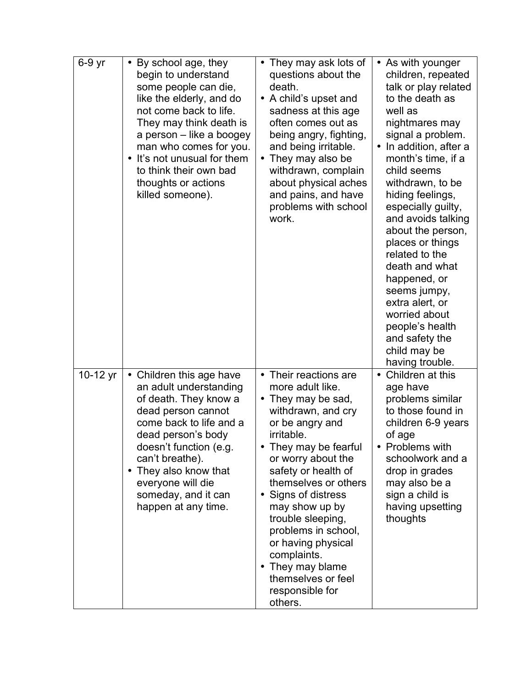| 6-9 yr   | By school age, they<br>$\bullet$<br>begin to understand<br>some people can die,<br>like the elderly, and do<br>not come back to life.<br>They may think death is<br>a person – like a boogey<br>man who comes for you.<br>• It's not unusual for them<br>to think their own bad<br>thoughts or actions<br>killed someone). | • They may ask lots of<br>questions about the<br>death.<br>• A child's upset and<br>sadness at this age<br>often comes out as<br>being angry, fighting,<br>and being irritable.<br>They may also be<br>withdrawn, complain<br>about physical aches<br>and pains, and have<br>problems with school<br>work.                                                                                                                               | • As with younger<br>children, repeated<br>talk or play related<br>to the death as<br>well as<br>nightmares may<br>signal a problem.<br>• In addition, after a<br>month's time, if a<br>child seems<br>withdrawn, to be<br>hiding feelings,<br>especially guilty,<br>and avoids talking<br>about the person,<br>places or things<br>related to the<br>death and what<br>happened, or<br>seems jumpy,<br>extra alert, or<br>worried about<br>people's health<br>and safety the<br>child may be<br>having trouble. |
|----------|----------------------------------------------------------------------------------------------------------------------------------------------------------------------------------------------------------------------------------------------------------------------------------------------------------------------------|------------------------------------------------------------------------------------------------------------------------------------------------------------------------------------------------------------------------------------------------------------------------------------------------------------------------------------------------------------------------------------------------------------------------------------------|------------------------------------------------------------------------------------------------------------------------------------------------------------------------------------------------------------------------------------------------------------------------------------------------------------------------------------------------------------------------------------------------------------------------------------------------------------------------------------------------------------------|
| 10-12 yr | • Children this age have<br>an adult understanding<br>of death. They know a<br>dead person cannot<br>come back to life and a<br>dead person's body<br>doesn't function (e.g.<br>can't breathe).<br>• They also know that<br>everyone will die<br>someday, and it can<br>happen at any time.                                | • Their reactions are<br>more adult like.<br>They may be sad,<br>$\bullet$<br>withdrawn, and cry<br>or be angry and<br>irritable.<br>They may be fearful<br>or worry about the<br>safety or health of<br>themselves or others<br>Signs of distress<br>$\bullet$<br>may show up by<br>trouble sleeping,<br>problems in school,<br>or having physical<br>complaints.<br>They may blame<br>themselves or feel<br>responsible for<br>others. | • Children at this<br>age have<br>problems similar<br>to those found in<br>children 6-9 years<br>of age<br>• Problems with<br>schoolwork and a<br>drop in grades<br>may also be a<br>sign a child is<br>having upsetting<br>thoughts                                                                                                                                                                                                                                                                             |